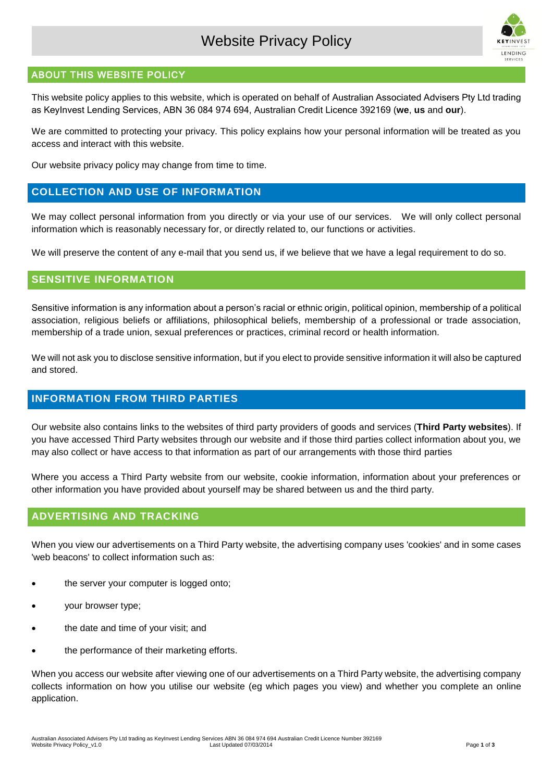# Website Privacy Policy



#### ABOUT THIS WEBSITE POLICY

This website policy applies to this website, which is operated on behalf of Australian Associated Advisers Pty Ltd trading as KeyInvest Lending Services, ABN 36 084 974 694, Australian Credit Licence 392169 (**we**, **us** and **our**).

We are committed to protecting your privacy. This policy explains how your personal information will be treated as you access and interact with this website.

Our website privacy policy may change from time to time.

#### **COLLECTION AND USE OF INFORMATION**

We may collect personal information from you directly or via your use of our services. We will only collect personal information which is reasonably necessary for, or directly related to, our functions or activities.

We will preserve the content of any e-mail that you send us, if we believe that we have a legal requirement to do so.

#### **SENSITIVE INFORMATION**

Sensitive information is any information about a person's racial or ethnic origin, political opinion, membership of a political association, religious beliefs or affiliations, philosophical beliefs, membership of a professional or trade association, membership of a trade union, sexual preferences or practices, criminal record or health information.

We will not ask you to disclose sensitive information, but if you elect to provide sensitive information it will also be captured and stored.

### **INFORMATION FROM THIRD PARTIES**

Our website also contains links to the websites of third party providers of goods and services (**Third Party websites**). If you have accessed Third Party websites through our website and if those third parties collect information about you, we may also collect or have access to that information as part of our arrangements with those third parties

Where you access a Third Party website from our website, cookie information, information about your preferences or other information you have provided about yourself may be shared between us and the third party.

### **ADVERTISING AND TRACKING**

When you view our advertisements on a Third Party website, the advertising company uses 'cookies' and in some cases 'web beacons' to collect information such as:

- the server your computer is logged onto;
- your browser type;
- the date and time of your visit; and
- the performance of their marketing efforts.

When you access our website after viewing one of our advertisements on a Third Party website, the advertising company collects information on how you utilise our website (eg which pages you view) and whether you complete an online application.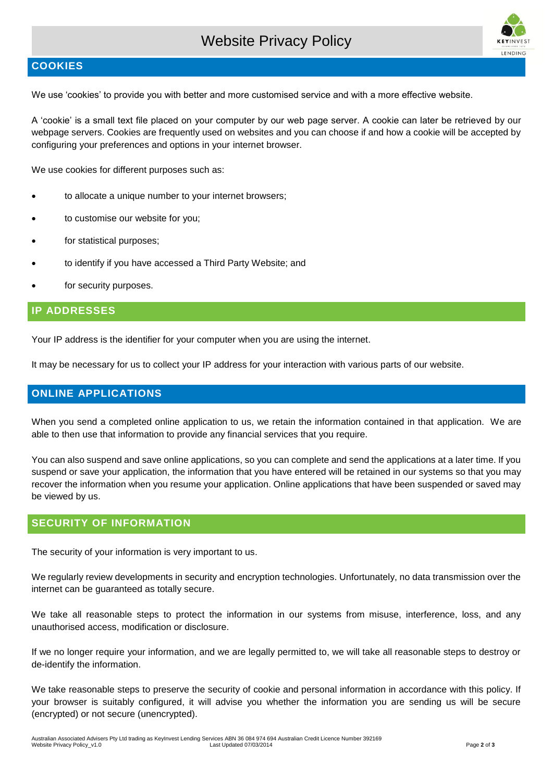# Website Privacy Policy



#### **COOKIES**

We use 'cookies' to provide you with better and more customised service and with a more effective website.

A 'cookie' is a small text file placed on your computer by our web page server. A cookie can later be retrieved by our webpage servers. Cookies are frequently used on websites and you can choose if and how a cookie will be accepted by configuring your preferences and options in your internet browser.

We use cookies for different purposes such as:

- to allocate a unique number to your internet browsers;
- to customise our website for you;
- for statistical purposes;
- to identify if you have accessed a Third Party Website; and
- for security purposes.

#### **IP ADDRESSES**

Your IP address is the identifier for your computer when you are using the internet.

It may be necessary for us to collect your IP address for your interaction with various parts of our website.

#### **ONLINE APPLICATIONS**

When you send a completed online application to us, we retain the information contained in that application. We are able to then use that information to provide any financial services that you require.

You can also suspend and save online applications, so you can complete and send the applications at a later time. If you suspend or save your application, the information that you have entered will be retained in our systems so that you may recover the information when you resume your application. Online applications that have been suspended or saved may be viewed by us.

## **SECURITY OF INFORMATION**

The security of your information is very important to us.

We regularly review developments in security and encryption technologies. Unfortunately, no data transmission over the internet can be guaranteed as totally secure.

We take all reasonable steps to protect the information in our systems from misuse, interference, loss, and any unauthorised access, modification or disclosure.

If we no longer require your information, and we are legally permitted to, we will take all reasonable steps to destroy or de-identify the information.

We take reasonable steps to preserve the security of cookie and personal information in accordance with this policy. If your browser is suitably configured, it will advise you whether the information you are sending us will be secure (encrypted) or not secure (unencrypted).